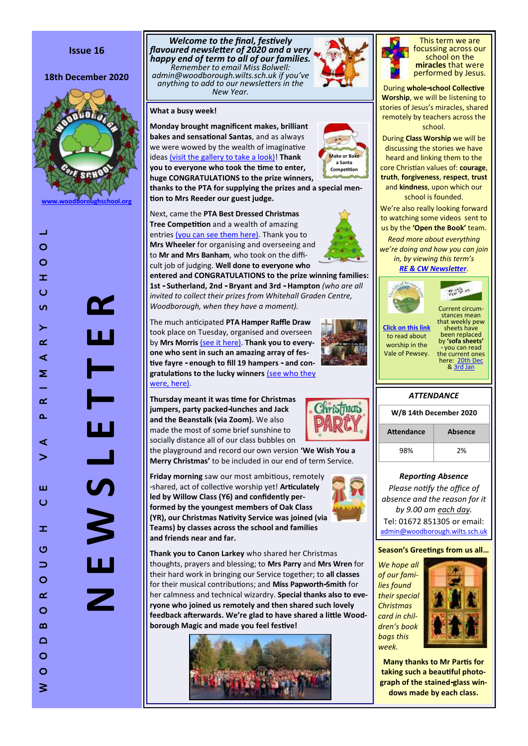# **Issue 16**

#### 18th December 2020



**[www.woodboroughschool.org](https://woodboroughschool.org/)**

 $\circ$  $\geq$  **N E W S L E T T E R**

 $\blacksquare$ 

Ľ

3

*Welcome to the final, festively flavoured newsletter of 2020 and a very happy end of term to all of our families. Remember to email Miss Bolwell: admin@woodborough.wilts.sch.uk if you 've anything to add to our newsletters in the New Year.*



**Monday brought magnificent makes, brilliant bakes and sensational Santas**, and as always we were wowed by the wealth of imaginative ideas [\(visit the gallery to take a look\)!](https://woodboroughschool.org/gallery/make-or-bake-a-father-christmas-2020/) **Thank you to everyone who took the time to enter, huge CONGRATULATIONS to the prize winners, thanks to the PTA for supplying the prizes and a special mention to Mrs Reeder our guest judge.**

Next, came the **PTA Best Dressed Christmas Tree Competition** and a wealth of amazing entries [\(you can see them here\).](https://woodboroughschool.org/gallery/pta-best-dressed-christmas-tree-competition-december-2020/) Thank you to **Mrs Wheeler** for organising and overseeing and to **Mr and Mrs Banham**, who took on the difficult job of judging. **Well done to everyone who** 

**entered and CONGRATULATIONS to the prize winning families: 1st - Sutherland, 2nd - Bryant and 3rd - Hampton** *(who are all invited to collect their prizes from Whitehall Graden Centre, Woodborough, when they have a moment).*

The much anticipated **PTA Hamper Raffle Draw**  took place on Tuesday, organised and overseen by **Mrs Morris** [\(see it here\).](https://woodboroughschool.org/its-time-to-draw-the-winning-tickets/) **Thank you to everyone who sent in such an amazing array of festive fayre - enough to fill 19 hampers - and congratulations to the lucky winners** [\(see who they](https://woodboroughschool.org/wp-content/uploads/2020/12/Hamper-Winners-2020.pdf)  [were, here\)](https://woodboroughschool.org/wp-content/uploads/2020/12/Hamper-Winners-2020.pdf) .

**Thursday meant it was time for Christmas jumpers, party packed -lunches and Jack and the Beanstalk (via Zoom).** We also made the most of some brief sunshine to socially distance all of our class bubbles on

the playground and record our own version **'We Wish You a Merry Christmas '** to be included in our end of term Service.

**Friday morning** saw our most ambitious, remotely -shared, act of collective worship yet! **Articulately led by Willow Class (Y6) and confidently performed by the youngest members of Oak Class (YR), our Christmas Nativity Service was joined (via Teams) by classes across the school and families and friends near and far.** 



**Thank you to Canon Larkey** who shared her Christmas thoughts, prayers and blessing; to **Mrs Parry** and **Mrs Wren** for their hard work in bringing our Service together; to **all classes**  for their musical contributions; and **Miss Papworth -Smith** for her calmness and technical wizardry. **Special thanks also to everyone who joined us remotely and then shared such lovely feedback afterwards. We 're glad to have shared a little Woodborough Magic and made you feel festive!**





**Make or Bake a Santa Competition**



This term we are focussing across our school on the **miracles** that were performed by Jesus.

During **whole -school Collective Worship**, we will be listening to stories of Jesus 's miracles, shared remotely by teachers across the school.

During **Class Worship** we will be discussing the stories we have heard and linking them to the core Christian values of: **courage**, **truth**, **forgiveness**, **respect**, **trust** and **kindness**, upon which our school is founded.

We 're also really looking forward to watching some videos sent to us by the **'Open the Book'** team. *Read more about everything we 're doing and how you can join* 

*in, by viewing this term 's [RE & CW Newsletter](https://woodboroughschool.org/wp-content/uploads/2020/11/RE-NEWSLETTER-Autumn-2-November-2020.pdf) .*



**WANTED** 



Current circumstances mean that weekly pew sheets have been replaced by **'sofa sheets'**  you can read the current ones here: [20th Dec](https://woodboroughschool.org/wp-content/uploads/2020/12/20th-December.pdf) & [3rd Jan](https://woodboroughschool.org/wp-content/uploads/2020/12/3rd-Jan.pdf)

# *ATTENDANCE*

| W/B 14th December 2020 |         |  |
|------------------------|---------|--|
| <b>Attendance</b>      | Absence |  |
| 98%                    | 2%      |  |

# *Reporting Absence*

*Please notify the office of absence and the reason for it by 9.00 am each day.*  Tel: 01672 851305 or email: [admin@woodborough.wilts.sch.uk](mailto:admin@woodborough.wilts.sch.uk)

#### **Season 's Greetings from us all …**

*We hope all of our families found their special Christmas card in children's book bags this week.*



**Many thanks to Mr Partis for taking such a beautiful photograph of the stained-glass windows made by each class.**